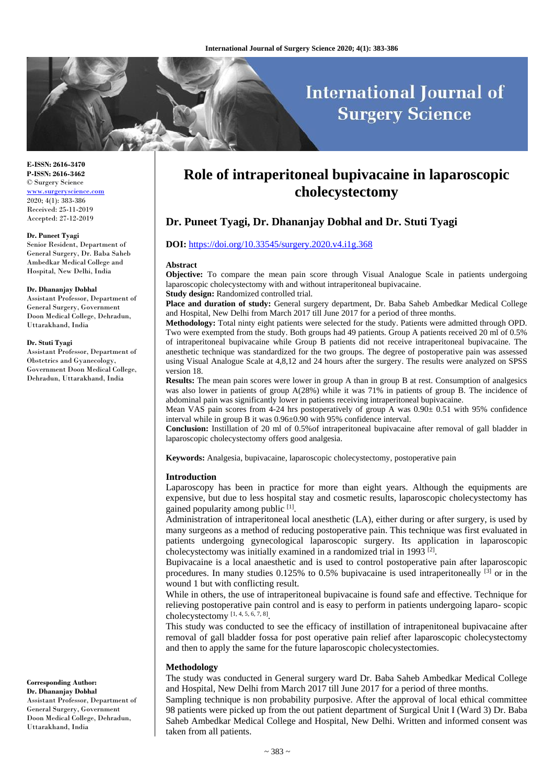# **International Journal of Surgery Science**

**E-ISSN: 2616-3470 P-ISSN: 2616-3462** © Surgery Science <www.surgeryscience.com> 2020; 4(1): 383-386 Received: 25-11-2019 Accepted: 27-12-2019

#### **Dr. Puneet Tyagi**

Senior Resident, Department of General Surgery, Dr. Baba Saheb Ambedkar Medical College and Hospital, New Delhi, India

#### **Dr. Dhananjay Dobhal**

Assistant Professor, Department of General Surgery, Government Doon Medical College, Dehradun, Uttarakhand, India

#### **Dr. Stuti Tyagi**

Assistant Professor, Department of Obstetrics and Gyanecology, Government Doon Medical College, Dehradun, Uttarakhand, India

# **Role of intraperitoneal bupivacaine in laparoscopic cholecystectomy**

# **Dr. Puneet Tyagi, Dr. Dhananjay Dobhal and Dr. Stuti Tyagi**

### **DOI:** <https://doi.org/10.33545/surgery.2020.v4.i1g.368>

#### **Abstract**

**Objective:** To compare the mean pain score through Visual Analogue Scale in patients undergoing laparoscopic cholecystectomy with and without intraperitoneal bupivacaine. **Study design:** Randomized controlled trial.

**Place and duration of study:** General surgery department, Dr. Baba Saheb Ambedkar Medical College and Hospital, New Delhi from March 2017 till June 2017 for a period of three months.

**Methodology:** Total ninty eight patients were selected for the study. Patients were admitted through OPD. Two were exempted from the study. Both groups had 49 patients. Group A patients received 20 ml of 0.5% of intraperitoneal bupivacaine while Group B patients did not receive intraperitoneal bupivacaine. The anesthetic technique was standardized for the two groups. The degree of postoperative pain was assessed using Visual Analogue Scale at 4,8,12 and 24 hours after the surgery. The results were analyzed on SPSS version 18.

**Results:** The mean pain scores were lower in group A than in group B at rest. Consumption of analgesics was also lower in patients of group A(28%) while it was 71% in patients of group B. The incidence of abdominal pain was significantly lower in patients receiving intraperitoneal bupivacaine.

Mean VAS pain scores from 4-24 hrs postoperatively of group A was  $0.90<sub>±</sub> 0.51$  with 95% confidence interval while in group B it was 0.96±0.90 with 95% confidence interval.

**Conclusion:** Instillation of 20 ml of 0.5%of intraperitoneal bupivacaine after removal of gall bladder in laparoscopic cholecystectomy offers good analgesia.

**Keywords:** Analgesia, bupivacaine, laparoscopic cholecystectomy, postoperative pain

#### **Introduction**

Laparoscopy has been in practice for more than eight years. Although the equipments are expensive, but due to less hospital stay and cosmetic results, laparoscopic cholecystectomy has gained popularity among public [1].

Administration of intraperitoneal local anesthetic (LA), either during or after surgery, is used by many surgeons as a method of reducing postoperative pain. This technique was first evaluated in patients undergoing gynecological laparoscopic surgery. Its application in laparoscopic cholecystectomy was initially examined in a randomized trial in 1993<sup>[2]</sup>.

Bupivacaine is a local anaesthetic and is used to control postoperative pain after laparoscopic procedures. In many studies  $0.125\%$  to  $0.5\%$  bupivacaine is used intraperitoneally  $^{[3]}$  or in the wound 1 but with conflicting result.

While in others, the use of intraperitoneal bupivacaine is found safe and effective. Technique for relieving postoperative pain control and is easy to perform in patients undergoing laparo- scopic cholecystectomy  $[1, 4, 5, 6, 7, 8]$ .

This study was conducted to see the efficacy of instillation of intrapenitoneal bupivacaine after removal of gall bladder fossa for post operative pain relief after laparoscopic cholecystectomy and then to apply the same for the future laparoscopic cholecystectomies.

#### **Methodology**

The study was conducted in General surgery ward Dr. Baba Saheb Ambedkar Medical College and Hospital, New Delhi from March 2017 till June 2017 for a period of three months.

Sampling technique is non probability purposive. After the approval of local ethical committee 98 patients were picked up from the out patient department of Surgical Unit I (Ward 3) Dr. Baba Saheb Ambedkar Medical College and Hospital, New Delhi. Written and informed consent was taken from all patients.

**Corresponding Author: Dr. Dhananjay Dobhal**

Assistant Professor, Department of General Surgery, Government Doon Medical College, Dehradun, Uttarakhand, India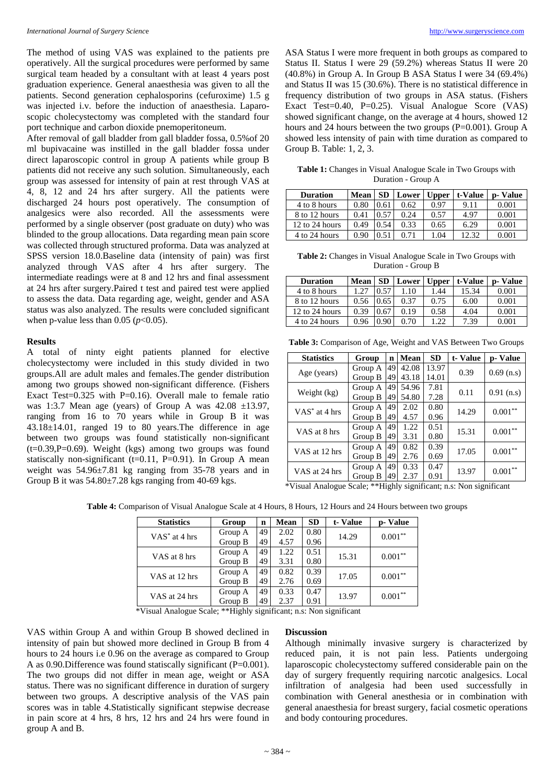The method of using VAS was explained to the patients pre operatively. All the surgical procedures were performed by same surgical team headed by a consultant with at least 4 years post graduation experience. General anaesthesia was given to all the patients. Second generation cephalosporins (cefuroxime) 1.5 g was injected i.v. before the induction of anaesthesia. Laparoscopic cholecystectomy was completed with the standard four port technique and carbon dioxide pnemoperitoneum.

After removal of gall bladder from gall bladder fossa, 0.5%of 20 ml bupivacaine was instilled in the gall bladder fossa under direct laparoscopic control in group A patients while group B patients did not receive any such solution. Simultaneously, each group was assessed for intensity of pain at rest through VAS at 4, 8, 12 and 24 hrs after surgery. All the patients were discharged 24 hours post operatively. The consumption of analgesics were also recorded. All the assessments were performed by a single observer (post graduate on duty) who was blinded to the group allocations. Data regarding mean pain score was collected through structured proforma. Data was analyzed at SPSS version 18.0.Baseline data (intensity of pain) was first analyzed through VAS after 4 hrs after surgery. The intermediate readings were at 8 and 12 hrs and final assessment at 24 hrs after surgery.Paired t test and paired test were applied to assess the data. Data regarding age, weight, gender and ASA status was also analyzed. The results were concluded significant when p-value less than  $0.05$  ( $p<0.05$ ).

#### **Results**

A total of ninty eight patients planned for elective cholecystectomy were included in this study divided in two groups.All are adult males and females.The gender distribution among two groups showed non-significant difference. (Fishers Exact Test= $0.325$  with P= $0.16$ ). Overall male to female ratio was 1:3.7 Mean age (years) of Group A was  $42.08 \pm 13.97$ , ranging from 16 to 70 years while in Group B it was 43.18±14.01, ranged 19 to 80 years.The difference in age between two groups was found statistically non-significant  $(t=0.39, P=0.69)$ . Weight (kgs) among two groups was found statiscally non-significant (t=0.11, P=0.91). In Group A mean weight was 54.96±7.81 kg ranging from 35-78 years and in Group B it was  $54.80 \pm 7.28$  kgs ranging from 40-69 kgs.

ASA Status I were more frequent in both groups as compared to Status II. Status I were 29 (59.2%) whereas Status II were 20 (40.8%) in Group A. In Group B ASA Status I were 34 (69.4%) and Status II was 15 (30.6%). There is no statistical difference in frequency distribution of two groups in ASA status. (Fishers Exact Test=0.40, P=0.25). Visual Analogue Score (VAS) showed significant change, on the average at 4 hours, showed 12 hours and 24 hours between the two groups (P=0.001). Group A showed less intensity of pain with time duration as compared to Group B. Table: 1, 2, 3.

**Table 1:** Changes in Visual Analogue Scale in Two Groups with Duration - Group A

| <b>Duration</b> | Mean | <b>SD</b> | Lower | <b>Upper</b> | t-Value | p-Value |
|-----------------|------|-----------|-------|--------------|---------|---------|
| 4 to 8 hours    | 0.80 | 0.61      | 0.62  | 0.97         | 9.11    | 0.001   |
| 8 to 12 hours   | 0.41 | 0.57      | 0.24  | 0.57         | 4.97    | 0.001   |
| 12 to 24 hours  | 0.49 | 0.54      | 0.33  | 0.65         | 6.29    | 0.001   |
| 4 to 24 hours   | 0.90 |           | 0.71  | 1.04         | 2.32    | 0.001   |

**Table 2:** Changes in Visual Analogue Scale in Two Groups with Duration - Group B

| <b>Duration</b> | Mean | SD   | Lower | <b>Upper</b> | t-Value | p-Value |
|-----------------|------|------|-------|--------------|---------|---------|
| 4 to 8 hours    |      | 0.57 | 1.10  | 1.44         | 15.34   | 0.001   |
| 8 to 12 hours   | 0.56 | 0.65 | 0.37  | 0.75         | 6.00    | 0.001   |
| 12 to 24 hours  | 0.39 | 0.67 | 0.19  | 0.58         | 4.04    | 0.001   |
| 4 to 24 hours   | 0.96 | 0.90 | 0.70  | 1.22         | 7.39    | 0.001   |

**Table 3:** Comparison of Age, Weight and VAS Between Two Groups

| <b>Statistics</b> | Group   | $\mathbf n$ | Mean  | <b>SD</b> | t-Value | p-Value      |
|-------------------|---------|-------------|-------|-----------|---------|--------------|
| Age (years)       | Group A | 49          | 42.08 | 13.97     | 0.39    | $0.69$ (n.s) |
|                   | Group B | 49          | 43.18 | 14.01     |         |              |
| Weight (kg)       | Group A | 49          | 54.96 | 7.81      | 0.11    |              |
|                   | Group B | 49          | 54.80 | 7.28      |         | $0.91$ (n.s) |
| $VAS^*$ at 4 hrs  | Group A | 49          | 2.02  | 0.80      | 14.29   | $0.001**$    |
|                   | Group B | 49          | 4.57  | 0.96      |         |              |
| VAS at 8 hrs      | Group A | 49          | 1.22  | 0.51      |         | $0.001**$    |
|                   | Group B | 49          | 3.31  | 0.80      | 15.31   |              |
| VAS at 12 hrs     | Group A | 49          | 0.82  | 0.39      | 17.05   | $0.001**$    |
|                   | Group B | 49          | 2.76  | 0.69      |         |              |
| VAS at 24 hrs     | Group A | 49          | 0.33  | 0.47      |         | $0.001**$    |
|                   | Group B | 49          | 2.37  | 0.91      | 13.97   |              |

\*Visual Analogue Scale; \*\*Highly significant; n.s: Non significant

**Table 4:** Comparison of Visual Analogue Scale at 4 Hours, 8 Hours, 12 Hours and 24 Hours between two groups

| <b>Statistics</b>         | Group   | $\mathbf n$ | Mean | <b>SD</b> | t-Value | p-Value    |
|---------------------------|---------|-------------|------|-----------|---------|------------|
| VAS <sup>*</sup> at 4 hrs | Group A | 49          | 2.02 | 0.80      | 14.29   | $0.001**$  |
|                           | Group B | 49          | 4.57 | 0.96      |         |            |
| VAS at 8 hrs              | Group A | 49          | 1.22 | 0.51      | 15.31   | $0.001***$ |
|                           | Group B | 49          | 3.31 | 0.80      |         |            |
| VAS at 12 hrs             | Group A | 49          | 0.82 | 0.39      | 17.05   | $0.001**$  |
|                           | Group B | 49          | 2.76 | 0.69      |         |            |
| VAS at 24 hrs             | Group A | 49          | 0.33 | 0.47      |         | $0.001**$  |
|                           | Group B | 49          | 2.37 | 0.91      | 13.97   |            |

\*Visual Analogue Scale; \*\*Highly significant; n.s: Non significant

VAS within Group A and within Group B showed declined in intensity of pain but showed more declined in Group B from 4 hours to 24 hours i.e 0.96 on the average as compared to Group A as 0.90.Difference was found statiscally significant (P=0.001). The two groups did not differ in mean age, weight or ASA status. There was no significant difference in duration of surgery between two groups. A descriptive analysis of the VAS pain scores was in table 4.Statistically significant stepwise decrease in pain score at 4 hrs, 8 hrs, 12 hrs and 24 hrs were found in group A and B.

#### **Discussion**

Although minimally invasive surgery is characterized by reduced pain, it is not pain less. Patients undergoing laparoscopic cholecystectomy suffered considerable pain on the day of surgery frequently requiring narcotic analgesics. Local infiltration of analgesia had been used successfully in combination with General anesthesia or in combination with general anaesthesia for breast surgery, facial cosmetic operations and body contouring procedures.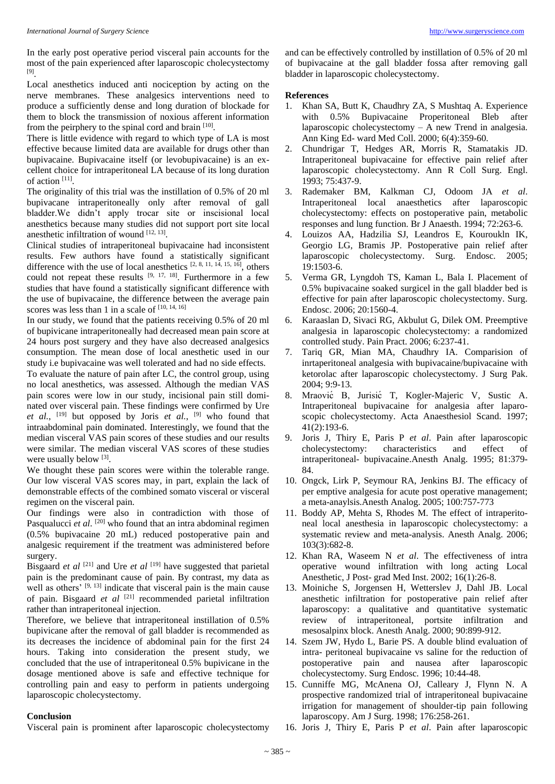In the early post operative period visceral pain accounts for the most of the pain experienced after laparoscopic cholecystectomy [9] .

Local anesthetics induced anti nociception by acting on the nerve membranes. These analgesics interventions need to produce a sufficiently dense and long duration of blockade for them to block the transmission of noxious afferent information from the peirphery to the spinal cord and brain [10].

There is little evidence with regard to which type of LA is most effective because limited data are available for drugs other than bupivacaine. Bupivacaine itself (or levobupivacaine) is an excellent choice for intraperitoneal LA because of its long duration of action [11] .

The originality of this trial was the instillation of 0.5% of 20 ml bupivacane intraperitoneally only after removal of gall bladder.We didn't apply trocar site or inscisional local anesthetics because many studies did not support port site local anesthetic infiltration of wound  $[12, 13]$ .

Clinical studies of intraperitoneal bupivacaine had inconsistent results. Few authors have found a statistically significant difference with the use of local anesthetics  $[2, 8, 11, 14, 15, 16]$ , others could not repeat these results  $[9, 17, 18]$ . Furthermore in a few studies that have found a statistically significant difference with the use of bupivacaine, the difference between the average pain scores was less than 1 in a scale of  $[10, 14, 16]$ 

In our study, we found that the patients receiving 0.5% of 20 ml of bupivicane intraperitoneally had decreased mean pain score at 24 hours post surgery and they have also decreased analgesics consumption. The mean dose of local anesthetic used in our study i.e bupivacaine was well tolerated and had no side effects.

To evaluate the nature of pain after LC, the control group, using no local anesthetics, was assessed. Although the median VAS pain scores were low in our study, incisional pain still dominated over visceral pain. These findings were confirmed by Ure et al., <sup>[19]</sup> but opposed by Joris et al., <sup>[9]</sup> who found that intraabdominal pain dominated. Interestingly, we found that the median visceral VAS pain scores of these studies and our results were similar. The median visceral VAS scores of these studies were usually below [3].

We thought these pain scores were within the tolerable range. Our low visceral VAS scores may, in part, explain the lack of demonstrable effects of the combined somato visceral or visceral regimen on the visceral pain.

Our findings were also in contradiction with those of Pasqualucci et al.<sup>[20]</sup> who found that an intra abdominal regimen (0.5% bupivacaine 20 mL) reduced postoperative pain and analgesic requirement if the treatment was administered before surgery.

Bisgaard *et al* <sup>[21]</sup> and Ure *et al* <sup>[19]</sup> have suggested that parietal pain is the predominant cause of pain. By contrast, my data as well as others'  $[9, 13]$  indicate that visceral pain is the main cause of pain. Bisgaard et al <sup>[21]</sup> recommended parietal infiltration rather than intraperitoneal injection.

Therefore, we believe that intraperitoneal instillation of 0.5% bupivicane after the removal of gall bladder is recommended as its decreases the incidence of abdominal pain for the first 24 hours. Taking into consideration the present study, we concluded that the use of intraperitoneal 0.5% bupivicane in the dosage mentioned above is safe and effective technique for controlling pain and easy to perform in patients undergoing laparoscopic cholecystectomy.

## **Conclusion**

Visceral pain is prominent after laparoscopic cholecystectomy

and can be effectively controlled by instillation of 0.5% of 20 ml of bupivacaine at the gall bladder fossa after removing gall bladder in laparoscopic cholecystectomy.

#### **References**

- 1. Khan SA, Butt K, Chaudhry ZA, S Mushtaq A. Experience with 0.5% Bupivacaine Properitoneal Bleb after laparoscopic cholecystectomy – A new Trend in analgesia. Ann King Ed- ward Med Coll. 2000; 6(4):359-60.
- 2. Chundrigar T, Hedges AR, Morris R, Stamatakis JD. Intraperitoneal bupivacaine for effective pain relief after laparoscopic cholecystectomy. Ann R Coll Surg. Engl. 1993; 75:437-9.
- 3. Rademaker BM, Kalkman CJ, Odoom JA *et al*. Intraperitoneal local anaesthetics after laparoscopic cholecystectomy: effects on postoperative pain, metabolic responses and lung function. Br J Anaesth. 1994; 72:263-6.
- 4. Louizos AA, Hadzilia SJ, Leandros E, Kouroukln IK, Georgio LG, Bramis JP. Postoperative pain relief after laparoscopic cholecystectomy. Surg. Endosc. 2005; 19:1503-6.
- 5. Verma GR, Lyngdoh TS, Kaman L, Bala I. Placement of 0.5% bupivacaine soaked surgicel in the gall bladder bed is effective for pain after laparoscopic cholecystectomy. Surg. Endosc. 2006; 20:1560-4.
- 6. Karaaslan D, Sivaci RG, Akbulut G, Dilek OM. Preemptive analgesia in laparoscopic cholecystectomy: a randomized controlled study. Pain Pract. 2006; 6:237-41.
- 7. Tariq GR, Mian MA, Chaudhry IA. Comparision of inrtaperitoneal analgesia with bupivacaine/bupivacaine with ketorolac after laparoscopic cholecystectomy. J Surg Pak. 2004; 9:9-13.
- 8. Mraović B, Jurisić T, Kogler-Majeric V, Sustic A. Intraperitoneal bupivacaine for analgesia after laparoscopic cholecystectomy. Acta Anaesthesiol Scand. 1997; 41(2):193-6.
- 9. Joris J, Thiry E, Paris P *et al*. Pain after laparoscopic cholecystectomy: characteristics and effect of intraperitoneal- bupivacaine.Anesth Analg. 1995; 81:379- 84.
- 10. Ongck, Lirk P, Seymour RA, Jenkins BJ. The efficacy of per emptive analgesia for acute post operative management; a meta-anaylsis.Anesth Analog. 2005; 100:757-773
- 11. Boddy AP, Mehta S, Rhodes M. The effect of intraperitoneal local anesthesia in laparoscopic cholecystectomy: a systematic review and meta-analysis. Anesth Analg. 2006; 103(3):682-8.
- 12. Khan RA, Waseem N *et al*. The effectiveness of intra operative wound infiltration with long acting Local Anesthetic, J Post- grad Med Inst. 2002; 16(1):26-8.
- 13. Moiniche S, Jorgensen H, Wetterslev J, Dahl JB. Local anesthetic infiltration for postoperative pain relief after laparoscopy: a qualitative and quantitative systematic review of intraperitoneal, portsite infiltration and mesosalpinx block. Anesth Analg. 2000; 90:899-912.
- 14. Szem JW, Hydo L, Barie PS. A double blind evaluation of intra- peritoneal bupivacaine vs saline for the reduction of postoperative pain and nausea after laparoscopic cholecystectomy. Surg Endosc. 1996; 10:44-48.
- 15. Cunniffe MG, McAnena OJ, Calleary J, Flynn N. A prospective randomized trial of intraperitoneal bupivacaine irrigation for management of shoulder-tip pain following laparoscopy. Am J Surg. 1998; 176:258-261.
- 16. Joris J, Thiry E, Paris P *et al*. Pain after laparoscopic